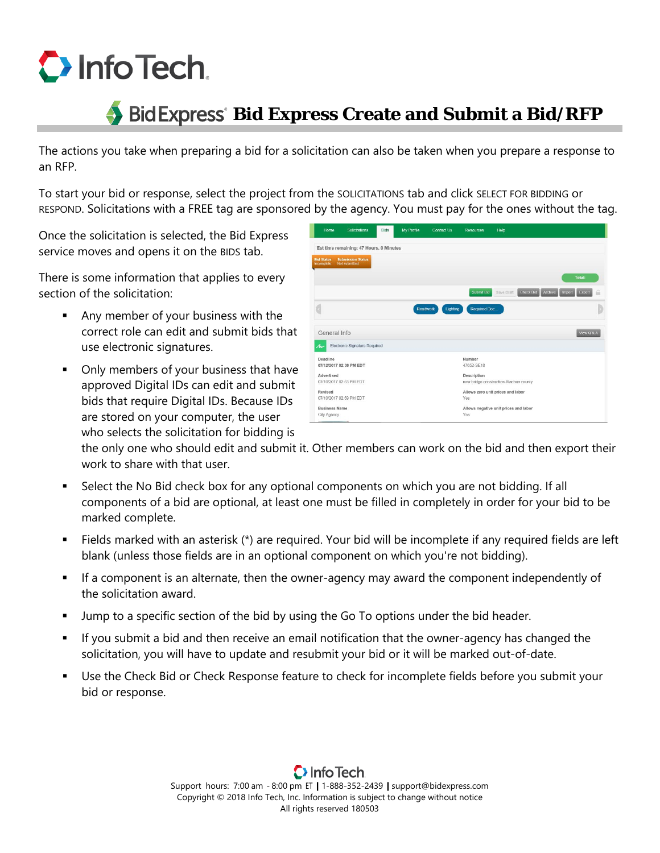

## **Bid Express Bid Express Create and Submit a Bid/RFP**

The actions you take when preparing a bid for a solicitation can also be taken when you prepare a response to an RFP.

To start your bid or response, select the project from the SOLICITATIONS tab and click SELECT FOR BIDDING or RESPOND. Solicitations with a FREE tag are sponsored by the agency. You must pay for the ones without the tag.

Once the solicitation is selected, the Bid Express service moves and opens it on the BIDS tab.

There is some information that applies to every section of the solicitation:

- Any member of your business with the correct role can edit and submit bids that use electronic signatures.
- **•** Only members of your business that have approved Digital IDs can edit and submit bids that require Digital IDs. Because IDs are stored on your computer, the user who selects the solicitation for bidding is

| Home                                | Solicitations                             | Bids | <b>My Profile</b> | Contact Us | <b>Resources</b>     | Help                                                |                |
|-------------------------------------|-------------------------------------------|------|-------------------|------------|----------------------|-----------------------------------------------------|----------------|
|                                     | Est time remaining: 47 Hours, 0 Minutes   |      |                   |            |                      |                                                     |                |
| <b>Bid Status</b><br>Incomplete     | <b>Submission Status</b><br>Not submitted |      |                   |            |                      |                                                     |                |
|                                     |                                           |      |                   |            |                      |                                                     | Total:         |
|                                     |                                           |      |                   |            | Submit Bid           | <b>Check Bid</b><br>Archive<br>Import<br>Save Draft | 읇<br>Export    |
|                                     |                                           |      | Roadwork          | Lighting   | Required Doc.        |                                                     |                |
| General Info                        |                                           |      |                   |            |                      |                                                     | View $Q$ & $A$ |
| ル                                   | Electronic Signature Required             |      |                   |            |                      |                                                     |                |
| Deadline                            | 07/12/2017 02:00 PM EDT                   |      |                   |            | Number<br>47652-SE18 |                                                     |                |
| Advertised                          | 07/10/2017 02:53 PM EDT                   |      |                   |            | Description          | new bridge construction Alachua county              |                |
| Revised                             | 07/10/2017 02:59 PM EDT                   |      |                   |            | Yes                  | Allows zero unit prices and labor                   |                |
| <b>Business Name</b><br>City Agency |                                           |      |                   |            | Yes                  | Allows negative unit prices and labor               |                |

the only one who should edit and submit it. Other members can work on the bid and then export their work to share with that user.

- Select the No Bid check box for any optional components on which you are not bidding. If all components of a bid are optional, at least one must be filled in completely in order for your bid to be marked complete.
- Fields marked with an asterisk  $(*)$  are required. Your bid will be incomplete if any required fields are left blank (unless those fields are in an optional component on which you're not bidding).
- If a component is an alternate, then the owner-agency may award the component independently of the solicitation award.
- Jump to a specific section of the bid by using the Go To options under the bid header.
- If you submit a bid and then receive an email notification that the owner-agency has changed the solicitation, you will have to update and resubmit your bid or it will be marked out-of-date.
- Use the Check Bid or Check Response feature to check for incomplete fields before you submit your bid or response.

Support hours: 7:00 am - 8:00 pm ET | 1-888-352-2439 | support@bidexpress.com Copyright © 2018 Info Tech, Inc. Information is subject to change without notice All rights reserved 180503